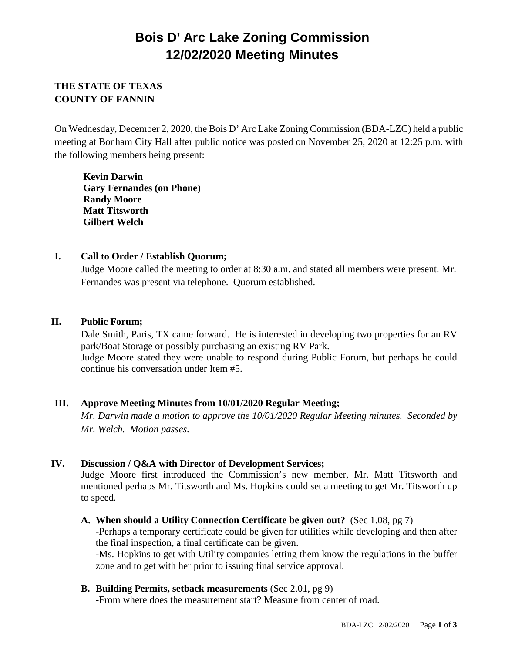# **Bois D' Arc Lake Zoning Commission 12/02/2020 Meeting Minutes**

## **THE STATE OF TEXAS COUNTY OF FANNIN**

On Wednesday, December 2, 2020, the Bois D' Arc Lake Zoning Commission (BDA-LZC) held a public meeting at Bonham City Hall after public notice was posted on November 25, 2020 at 12:25 p.m. with the following members being present:

**Kevin Darwin Gary Fernandes (on Phone) Randy Moore Matt Titsworth Gilbert Welch**

## **I. Call to Order / Establish Quorum;**

Judge Moore called the meeting to order at 8:30 a.m. and stated all members were present. Mr. Fernandes was present via telephone. Quorum established.

#### **II. Public Forum;**

Dale Smith, Paris, TX came forward. He is interested in developing two properties for an RV park/Boat Storage or possibly purchasing an existing RV Park. Judge Moore stated they were unable to respond during Public Forum, but perhaps he could continue his conversation under Item #5.

## **III. Approve Meeting Minutes from 10/01/2020 Regular Meeting;**

*Mr. Darwin made a motion to approve the 10/01/2020 Regular Meeting minutes. Seconded by Mr. Welch. Motion passes.*

## **IV. Discussion / Q&A with Director of Development Services;**

Judge Moore first introduced the Commission's new member, Mr. Matt Titsworth and mentioned perhaps Mr. Titsworth and Ms. Hopkins could set a meeting to get Mr. Titsworth up to speed.

#### **A. When should a Utility Connection Certificate be given out?** (Sec 1.08, pg 7)

-Perhaps a temporary certificate could be given for utilities while developing and then after the final inspection, a final certificate can be given.

-Ms. Hopkins to get with Utility companies letting them know the regulations in the buffer zone and to get with her prior to issuing final service approval.

#### **B. Building Permits, setback measurements** (Sec 2.01, pg 9)

-From where does the measurement start? Measure from center of road.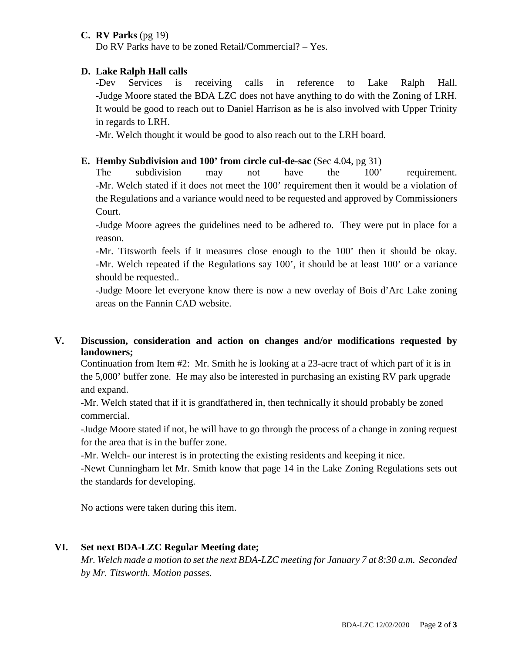## **C. RV Parks** (pg 19)

Do RV Parks have to be zoned Retail/Commercial? – Yes.

## **D. Lake Ralph Hall calls**

-Dev Services is receiving calls in reference to Lake Ralph Hall. -Judge Moore stated the BDA LZC does not have anything to do with the Zoning of LRH. It would be good to reach out to Daniel Harrison as he is also involved with Upper Trinity in regards to LRH.

-Mr. Welch thought it would be good to also reach out to the LRH board.

## **E. Hemby Subdivision and 100' from circle cul-de-sac** (Sec 4.04, pg 31)

The subdivision may not have the 100' requirement. -Mr. Welch stated if it does not meet the 100' requirement then it would be a violation of the Regulations and a variance would need to be requested and approved by Commissioners Court.

-Judge Moore agrees the guidelines need to be adhered to. They were put in place for a reason.

-Mr. Titsworth feels if it measures close enough to the 100' then it should be okay. -Mr. Welch repeated if the Regulations say 100', it should be at least 100' or a variance should be requested..

-Judge Moore let everyone know there is now a new overlay of Bois d'Arc Lake zoning areas on the Fannin CAD website.

## **V. Discussion, consideration and action on changes and/or modifications requested by landowners;**

Continuation from Item #2: Mr. Smith he is looking at a 23-acre tract of which part of it is in the 5,000' buffer zone. He may also be interested in purchasing an existing RV park upgrade and expand.

-Mr. Welch stated that if it is grandfathered in, then technically it should probably be zoned commercial.

-Judge Moore stated if not, he will have to go through the process of a change in zoning request for the area that is in the buffer zone.

-Mr. Welch- our interest is in protecting the existing residents and keeping it nice.

-Newt Cunningham let Mr. Smith know that page 14 in the Lake Zoning Regulations sets out the standards for developing.

No actions were taken during this item.

## **VI. Set next BDA-LZC Regular Meeting date;**

*Mr. Welch made a motion to set the next BDA-LZC meeting for January 7 at 8:30 a.m. Seconded by Mr. Titsworth. Motion passes.*